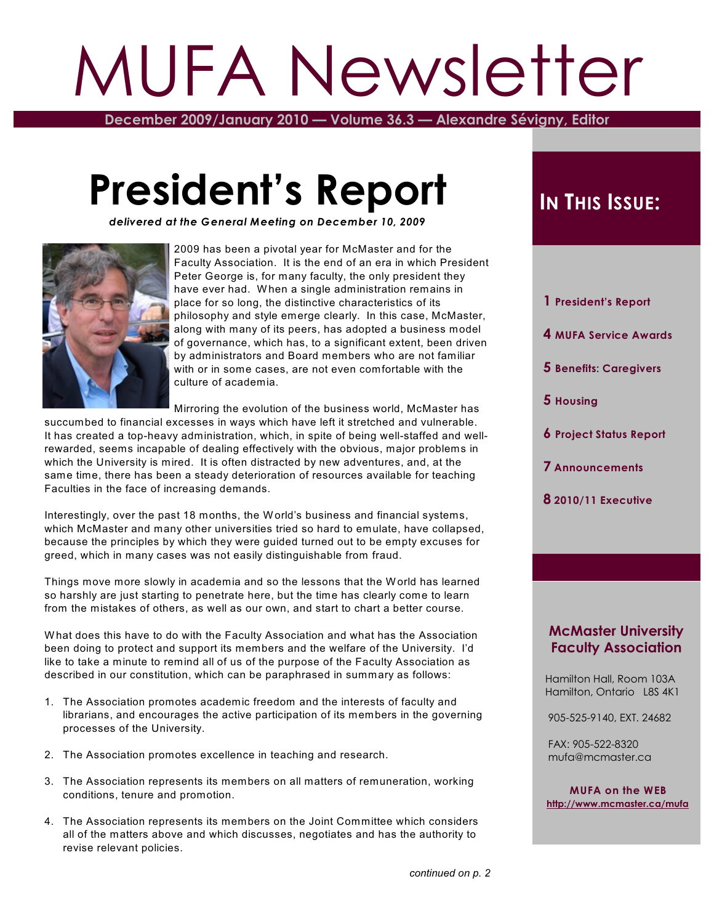# MUFA Newsletter

**December 2009/January 2010 — Volume 36.3 — Alexandre Sévigny, Editor**

# **President's Report**

*delivered at the General Meeting on December 10, 2009*



2009 has been a pivotal year for McMaster and for the Faculty Association. It is the end of an era in which President Peter George is, for many faculty, the only president they have ever had. W hen a single administration remains in place for so long, the distinctive characteristics of its philosophy and style emerge clearly. In this case, McMaster, along with many of its peers, has adopted a business model of governance, which has, to a significant extent, been driven by administrators and Board members who are not familiar with or in some cases, are not even comfortable with the culture of academia.

Mirroring the evolution of the business world, McMaster has

succumbed to financial excesses in ways which have left it stretched and vulnerable. It has created a top-heavy administration, which, in spite of being well-staffed and wellrewarded, seems incapable of dealing effectively with the obvious, major problems in which the University is mired. It is often distracted by new adventures, and, at the same time, there has been a steady deterioration of resources available for teaching Faculties in the face of increasing demands.

Interestingly, over the past 18 months, the World's business and financial systems, which McMaster and many other universities tried so hard to emulate, have collapsed, because the principles by which they were guided turned out to be empty excuses for greed, which in many cases was not easily distinguishable from fraud.

Things move more slowly in academia and so the lessons that the W orld has learned so harshly are just starting to penetrate here, but the time has clearly come to learn from the mistakes of others, as well as our own, and start to chart a better course.

W hat does this have to do with the Faculty Association and what has the Association been doing to protect and support its members and the welfare of the University. I'd like to take a minute to remind all of us of the purpose of the Faculty Association as described in our constitution, which can be paraphrased in summary as follows:

- 1. The Association promotes academic freedom and the interests of faculty and librarians, and encourages the active participation of its members in the governing processes of the University.
- 2. The Association promotes excellence in teaching and research.
- 3. The Association represents its members on all matters of remuneration, working conditions, tenure and promotion.
- 4. The Association represents its members on the Joint Committee which considers all of the matters above and which discusses, negotiates and has the authority to revise relevant policies.

# **IN THIS ISSUE:**

- **1 President's Report**
- **4 MUFA Service Awards**
- **5 Benefits: Caregivers**
- **5 Housing**
- **6 Project Status Report**
- **7 Announcements**
- **8 2010/11 Executive**

#### **McMaster University Faculty Association**

 Hamilton Hall, Room 103A Hamilton, Ontario L8S 4K1

905-525-9140, EXT. 24682

 FAX: 905-522-8320 mufa@mcmaster.ca

**MUFA on the WEB <http://www.mcmaster.ca/mufa>**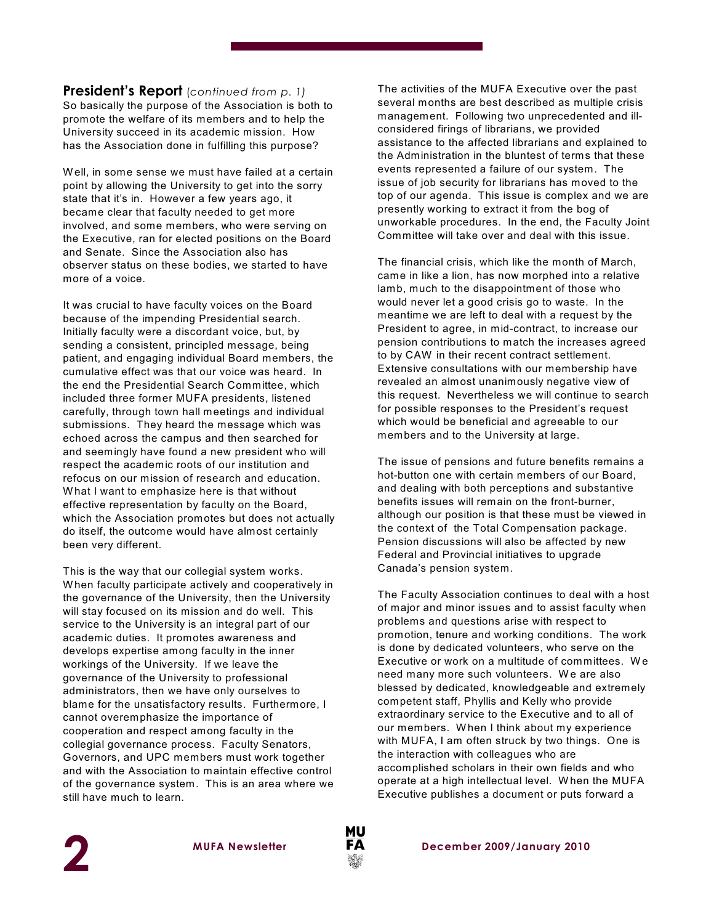#### **President's Report** (*continued from p. 1)*

So basically the purpose of the Association is both to promote the welfare of its members and to help the University succeed in its academic mission. How has the Association done in fulfilling this purpose?

W ell, in some sense we must have failed at a certain point by allowing the University to get into the sorry state that it's in. However a few years ago, it became clear that faculty needed to get more involved, and some members, who were serving on the Executive, ran for elected positions on the Board and Senate. Since the Association also has observer status on these bodies, we started to have more of a voice.

It was crucial to have faculty voices on the Board because of the impending Presidential search. Initially faculty were a discordant voice, but, by sending a consistent, principled message, being patient, and engaging individual Board members, the cumulative effect was that our voice was heard. In the end the Presidential Search Committee, which included three former MUFA presidents, listened carefully, through town hall meetings and individual submissions. They heard the message which was echoed across the campus and then searched for and seemingly have found a new president who will respect the academic roots of our institution and refocus on our mission of research and education. W hat I want to emphasize here is that without effective representation by faculty on the Board, which the Association promotes but does not actually do itself, the outcome would have almost certainly been very different.

This is the way that our collegial system works. W hen faculty participate actively and cooperatively in the governance of the University, then the University will stay focused on its mission and do well. This service to the University is an integral part of our academic duties. It promotes awareness and develops expertise among faculty in the inner workings of the University. If we leave the governance of the University to professional administrators, then we have only ourselves to blame for the unsatisfactory results. Furthermore, I cannot overemphasize the importance of cooperation and respect among faculty in the collegial governance process. Faculty Senators, Governors, and UPC members must work together and with the Association to maintain effective control of the governance system. This is an area where we still have much to learn.

The activities of the MUFA Executive over the past several months are best described as multiple crisis management. Following two unprecedented and illconsidered firings of librarians, we provided assistance to the affected librarians and explained to the Administration in the bluntest of terms that these events represented a failure of our system. The issue of job security for librarians has moved to the top of our agenda. This issue is complex and we are presently working to extract it from the bog of unworkable procedures. In the end, the Faculty Joint Committee will take over and deal with this issue.

The financial crisis, which like the month of March, came in like a lion, has now morphed into a relative lamb, much to the disappointment of those who would never let a good crisis go to waste. In the meantime we are left to deal with a request by the President to agree, in mid-contract, to increase our pension contributions to match the increases agreed to by CAW in their recent contract settlement. Extensive consultations with our membership have revealed an almost unanimously negative view of this request. Nevertheless we will continue to search for possible responses to the President's request which would be beneficial and agreeable to our members and to the University at large.

The issue of pensions and future benefits remains a hot-button one with certain members of our Board, and dealing with both perceptions and substantive benefits issues will remain on the front-burner, although our position is that these must be viewed in the context of the Total Compensation package. Pension discussions will also be affected by new Federal and Provincial initiatives to upgrade Canada's pension system.

The Faculty Association continues to deal with a host of major and minor issues and to assist faculty when problems and questions arise with respect to promotion, tenure and working conditions. The work is done by dedicated volunteers, who serve on the Executive or work on a multitude of committees. W e need many more such volunteers. We are also blessed by dedicated, knowledgeable and extremely competent staff, Phyllis and Kelly who provide extraordinary service to the Executive and to all of our members. W hen I think about my experience with MUFA, I am often struck by two things. One is the interaction with colleagues who are accomplished scholars in their own fields and who operate at a high intellectual level. W hen the MUFA Executive publishes a document or puts forward a



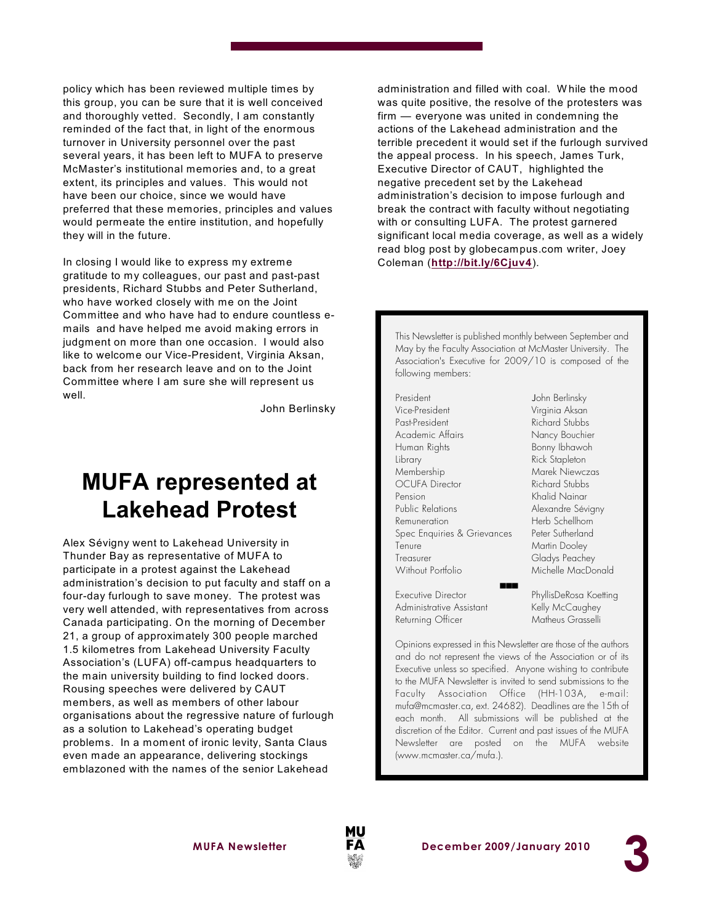policy which has been reviewed multiple times by this group, you can be sure that it is well conceived and thoroughly vetted. Secondly, I am constantly reminded of the fact that, in light of the enormous turnover in University personnel over the past several years, it has been left to MUFA to preserve McMaster's institutional memories and, to a great extent, its principles and values. This would not have been our choice, since we would have preferred that these memories, principles and values would permeate the entire institution, and hopefully they will in the future.

In closing I would like to express my extreme gratitude to my colleagues, our past and past-past presidents, Richard Stubbs and Peter Sutherland, who have worked closely with me on the Joint Committee and who have had to endure countless emails and have helped me avoid making errors in judgment on more than one occasion. I would also like to welcome our Vice-President, Virginia Aksan, back from her research leave and on to the Joint Committee where I am sure she will represent us well.

John Berlinsky

# **MUFA represented at Lakehead Protest**

Alex Sévigny went to Lakehead University in Thunder Bay as representative of MUFA to participate in a protest against the Lakehead administration's decision to put faculty and staff on a four-day furlough to save money. The protest was very well attended, with representatives from across Canada participating. On the morning of December 21, a group of approximately 300 people marched 1.5 kilometres from Lakehead University Faculty Association's (LUFA) off-campus headquarters to the main university building to find locked doors. Rousing speeches were delivered by CAUT members, as well as members of other labour organisations about the regressive nature of furlough as a solution to Lakehead's operating budget problems. In a moment of ironic levity, Santa Claus even made an appearance, delivering stockings emblazoned with the names of the senior Lakehead

administration and filled with coal. W hile the mood was quite positive, the resolve of the protesters was firm — everyone was united in condemning the actions of the Lakehead administration and the terrible precedent it would set if the furlough survived the appeal process. In his speech, James Turk, Executive Director of CAUT, highlighted the negative precedent set by the Lakehead administration's decision to impose furlough and break the contract with faculty without negotiating with or consulting LUFA. The protest garnered significant local media coverage, as well as a widely read blog post by globecampus.com writer, Joey Coleman (**[http://bit.ly/6Cjuv4](http://bit.ly/6Cjuv4).)**).

This Newsletter is published monthly between September and May by the Faculty Association at McMaster University. The Association's Executive for 2009/10 is composed of the following members:

President **John Berlinsky** Vice-President Virginia Aksan Past-President Richard Stubbs Academic Affairs Nancy Bouchier Human Rights Bonny Ibhawoh Library Rick Stapleton Membership Marek Niewczas OCUFA Director Richard Stubbs Pension Khalid Nainar Public Relations Alexandre Sévigny Remuneration Herb Schellhorn Spec Enquiries & Grievances Peter Sutherland Tenure Martin Dooley Treasurer Gladys Peachey Without Portfolio Michelle MacDonald  $\overline{a}$ 

Executive Director PhyllisDeRosa Koetting Administrative Assistant Kelly McCaughey Returning Officer Matheus Grasselli

Opinions expressed in this Newsletter are those of the authors and do not represent the views of the Association or of its Executive unless so specified. Anyone wishing to contribute to the MUFA *Newsletter* is invited to send submissions to the Faculty Association Office (HH-103A, e-mail: mufa@mcmaster.ca, ext. 24682). Deadlines are the 15th of each month. All submissions will be published at the discretion of the Editor. Current and past issues of the MUFA *Newsletter* are posted on the MUFA website (www.mcmaster.ca/mufa.).

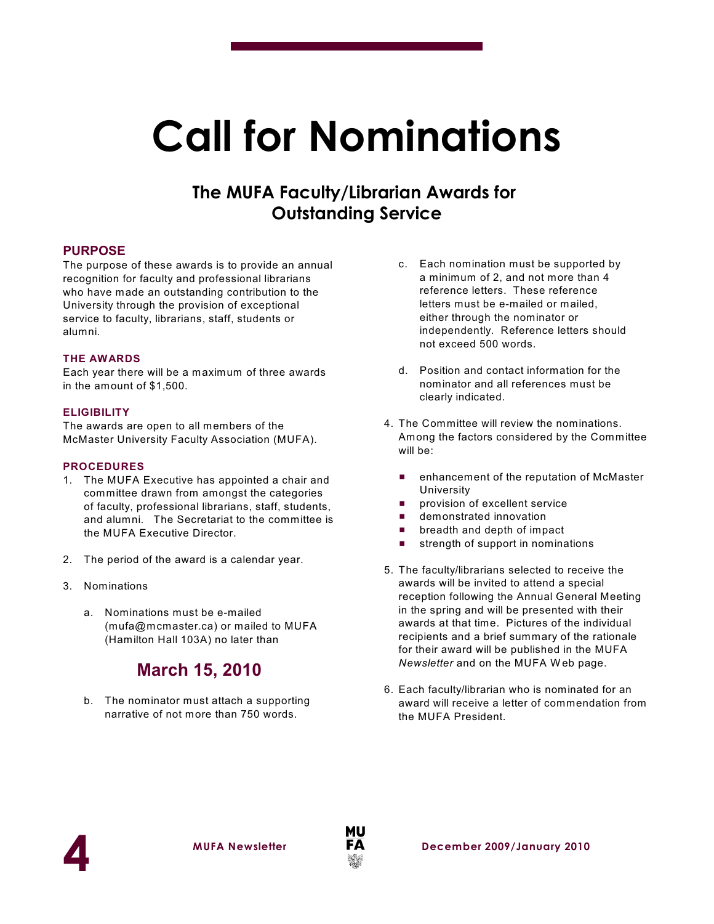# **Call for Nominations**

### **The MUFA Faculty/Librarian Awards for Outstanding Service**

#### **PURPOSE**

The purpose of these awards is to provide an annual recognition for faculty and professional librarians who have made an outstanding contribution to the University through the provision of exceptional service to faculty, librarians, staff, students or alumni.

#### **THE AWARDS**

Each year there will be a maximum of three awards in the amount of \$1,500.

#### **ELIGIBILITY**

The awards are open to all members of the McMaster University Faculty Association (MUFA).

#### **PROCEDURES**

- 1. The MUFA Executive has appointed a chair and committee drawn from amongst the categories of faculty, professional librarians, staff, students, and alumni. The Secretariat to the committee is the MUFA Executive Director.
- 2. The period of the award is a calendar year.
- 3. Nominations
	- a. Nominations must be e-mailed (mufa@mcmaster.ca) or mailed to MUFA (Hamilton Hall 103A) no later than

### **March 15, 2010**

b. The nominator must attach a supporting narrative of not more than 750 words.

- c. Each nomination must be supported by a minimum of 2, and not more than 4 reference letters. These reference letters must be e-mailed or mailed, either through the nominator or independently. Reference letters should not exceed 500 words.
- d. Position and contact information for the nominator and all references must be clearly indicated.
- 4. The Committee will review the nominations. Among the factors considered by the Committee will be:
	- $\blacksquare$  enhancement of the reputation of McMaster University
	- **provision of excellent service**
	- **E** demonstrated innovation
	- $\blacksquare$  breadth and depth of impact
	- $\blacksquare$  strength of support in nominations
- 5. The faculty/librarians selected to receive the awards will be invited to attend a special reception following the Annual General Meeting in the spring and will be presented with their awards at that time. Pictures of the individual recipients and a brief summary of the rationale for their award will be published in the MUFA *Newsletter* and on the MUFA W eb page.
- 6. Each faculty/librarian who is nominated for an award will receive a letter of commendation from the MUFA President.



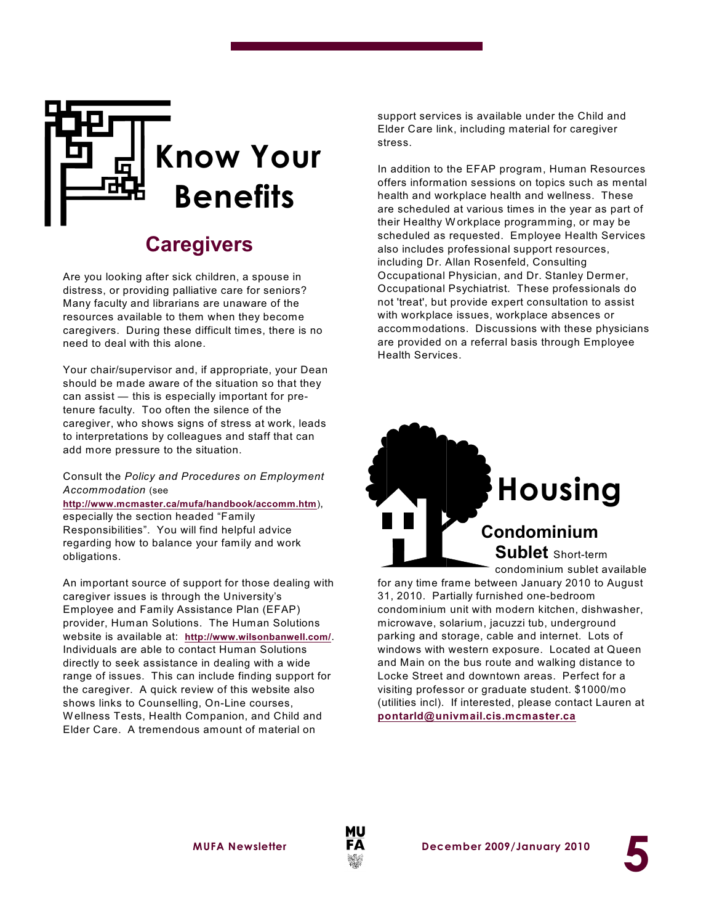

# **Caregivers**

Are you looking after sick children, a spouse in distress, or providing palliative care for seniors? Many faculty and librarians are unaware of the resources available to them when they become caregivers. During these difficult times, there is no need to deal with this alone.

Your chair/supervisor and, if appropriate, your Dean should be made aware of the situation so that they can assist — this is especially important for pretenure faculty. Too often the silence of the caregiver, who shows signs of stress at work, leads to interpretations by colleagues and staff that can add more pressure to the situation.

#### Consult the *Policy and Procedures on Employment Accommodation* (see

**<http://www.mcmaster.ca/mufa/handbook/accomm.htm>**), especially the section headed "Family Responsibilities". You will find helpful advice regarding how to balance your family and work obligations.

An important source of support for those dealing with caregiver issues is through the University's Employee and Family Assistance Plan (EFAP) provider, Human Solutions. The Human Solutions website is available at: **<http://www.wilsonbanwell.com/>**. Individuals are able to contact Human Solutions directly to seek assistance in dealing with a wide range of issues. This can include finding support for the caregiver. A quick review of this website also shows links to Counselling, On-Line courses, W ellness Tests, Health Companion, and Child and Elder Care. A tremendous amount of material on

support services is available under the Child and Elder Care link, including material for caregiver stress.

In addition to the EFAP program, Human Resources offers information sessions on topics such as mental health and workplace health and wellness. These are scheduled at various times in the year as part of their Healthy W orkplace programming, or may be scheduled as requested. Employee Health Services also includes professional support resources, including Dr. Allan Rosenfeld, Consulting Occupational Physician, and Dr. Stanley Dermer, Occupational Psychiatrist. These professionals do not 'treat', but provide expert consultation to assist with workplace issues, workplace absences or accommodations. Discussions with these physicians are provided on a referral basis through Employee Health Services.



for any time frame between January 2010 to August 31, 2010. Partially furnished one-bedroom condominium unit with modern kitchen, dishwasher, microwave, solarium, jacuzzi tub, underground parking and storage, cable and internet. Lots of windows with western exposure. Located at Queen and Main on the bus route and walking distance to Locke Street and downtown areas. Perfect for a visiting professor or graduate student. \$1000/mo (utilities incl). If interested, please contact Lauren at **[pontarld@univmail.cis.mcmaster.ca](mailto:pontarld@univmail.cis.mcmaster.ca)**



**5**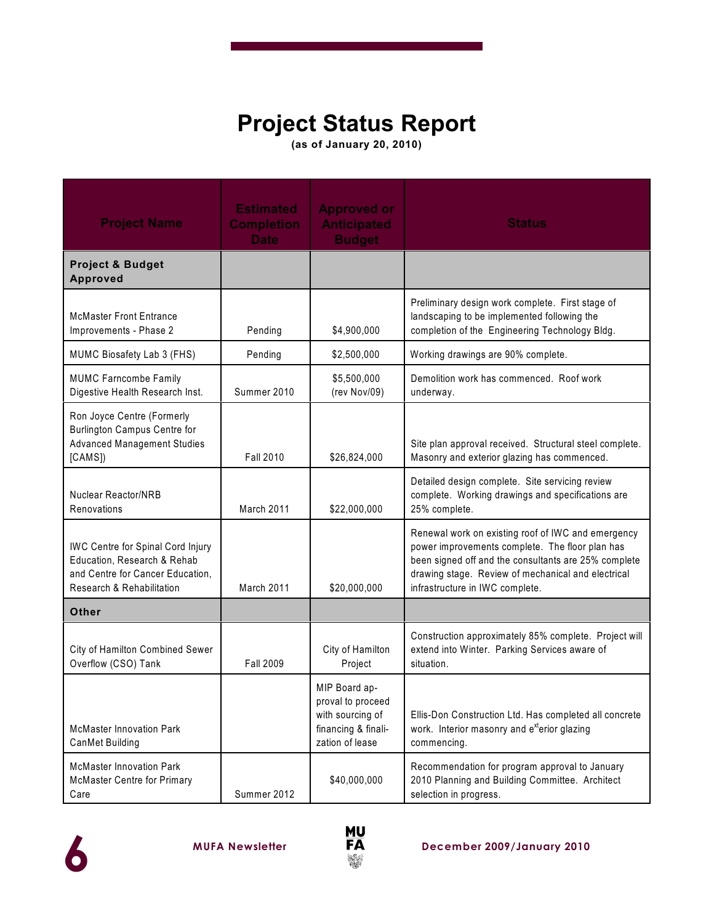# **Project Status Report**

**(as of January 20, 2010)**

| <b>Project Name</b>                                                                                                                      | <b>Estimated</b><br><b>Completion</b><br><b>Date</b> | <b>Approved or</b><br><b>Anticipated</b><br><b>Budget</b>                                        | <b>Status</b>                                                                                                                                                                                                                                          |  |  |
|------------------------------------------------------------------------------------------------------------------------------------------|------------------------------------------------------|--------------------------------------------------------------------------------------------------|--------------------------------------------------------------------------------------------------------------------------------------------------------------------------------------------------------------------------------------------------------|--|--|
| <b>Project &amp; Budget</b><br><b>Approved</b>                                                                                           |                                                      |                                                                                                  |                                                                                                                                                                                                                                                        |  |  |
| <b>McMaster Front Entrance</b><br>Improvements - Phase 2                                                                                 | Pending                                              | \$4,900,000                                                                                      | Preliminary design work complete. First stage of<br>landscaping to be implemented following the<br>completion of the Engineering Technology Bldg.                                                                                                      |  |  |
| MUMC Biosafety Lab 3 (FHS)                                                                                                               | Pending                                              | \$2,500,000                                                                                      | Working drawings are 90% complete.                                                                                                                                                                                                                     |  |  |
| <b>MUMC Farncombe Family</b><br>Digestive Health Research Inst.                                                                          | Summer 2010                                          | \$5,500,000<br>(rev Nov/09)                                                                      | Demolition work has commenced. Roof work<br>underway.                                                                                                                                                                                                  |  |  |
| Ron Joyce Centre (Formerly<br><b>Burlington Campus Centre for</b><br><b>Advanced Management Studies</b><br>[CAMS]                        | <b>Fall 2010</b>                                     | \$26,824,000                                                                                     | Site plan approval received. Structural steel complete.<br>Masonry and exterior glazing has commenced.                                                                                                                                                 |  |  |
| <b>Nuclear Reactor/NRB</b><br>Renovations                                                                                                | March 2011                                           | \$22,000,000                                                                                     | Detailed design complete. Site servicing review<br>complete. Working drawings and specifications are<br>25% complete.                                                                                                                                  |  |  |
| <b>IWC Centre for Spinal Cord Injury</b><br>Education, Research & Rehab<br>and Centre for Cancer Education,<br>Research & Rehabilitation | March 2011                                           | \$20,000,000                                                                                     | Renewal work on existing roof of IWC and emergency<br>power improvements complete. The floor plan has<br>been signed off and the consultants are 25% complete<br>drawing stage. Review of mechanical and electrical<br>infrastructure in IWC complete. |  |  |
| <b>Other</b>                                                                                                                             |                                                      |                                                                                                  |                                                                                                                                                                                                                                                        |  |  |
| City of Hamilton Combined Sewer<br>Overflow (CSO) Tank                                                                                   | <b>Fall 2009</b>                                     | City of Hamilton<br>Project                                                                      | Construction approximately 85% complete. Project will<br>extend into Winter. Parking Services aware of<br>situation.                                                                                                                                   |  |  |
| <b>McMaster Innovation Park</b><br>CanMet Building                                                                                       |                                                      | MIP Board ap-<br>proval to proceed<br>with sourcing of<br>financing & finali-<br>zation of lease | Ellis-Don Construction Ltd. Has completed all concrete<br>work. Interior masonry and e <sup>xt</sup> erior glazing<br>commencing.                                                                                                                      |  |  |
| <b>McMaster Innovation Park</b><br>McMaster Centre for Primary<br>Care                                                                   | Summer 2012                                          | \$40,000,000                                                                                     | Recommendation for program approval to January<br>2010 Planning and Building Committee. Architect<br>selection in progress.                                                                                                                            |  |  |



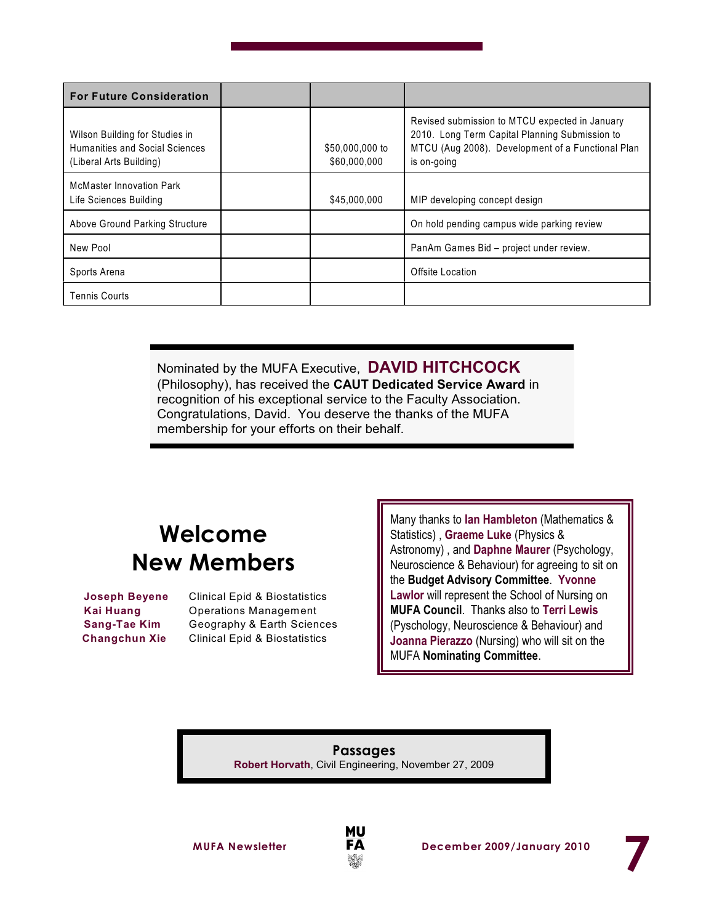| <b>For Future Consideration</b>                                                             |                                 |                                                                                                                                                                      |
|---------------------------------------------------------------------------------------------|---------------------------------|----------------------------------------------------------------------------------------------------------------------------------------------------------------------|
| Wilson Building for Studies in<br>Humanities and Social Sciences<br>(Liberal Arts Building) | \$50,000,000 to<br>\$60,000,000 | Revised submission to MTCU expected in January<br>2010. Long Term Capital Planning Submission to<br>MTCU (Aug 2008). Development of a Functional Plan<br>is on-going |
| <b>McMaster Innovation Park</b><br>Life Sciences Building                                   | \$45,000,000                    | MIP developing concept design                                                                                                                                        |
| Above Ground Parking Structure                                                              |                                 | On hold pending campus wide parking review                                                                                                                           |
| New Pool                                                                                    |                                 | PanAm Games Bid - project under review.                                                                                                                              |
| Sports Arena                                                                                |                                 | Offsite Location                                                                                                                                                     |
| <b>Tennis Courts</b>                                                                        |                                 |                                                                                                                                                                      |

Nominated by the MUFA Executive, **DAVID HITCHCOCK** (Philosophy), has received the **CAUT Dedicated Service Award** in recognition of his exceptional service to the Faculty Association. Congratulations, David. You deserve the thanks of the MUFA membership for your efforts on their behalf.

# **Welcome New Members**

**Joseph Beyene** Clinical Epid & Biostatistics **Kai Huang** Operations Management **Sang-Tae Kim** Geography & Earth Sciences **Changchun Xie** Clinical Epid & Biostatistics

Many thanks to **Ian Hambleton** (Mathematics & Statistics) , **Graeme Luke** (Physics & Astronomy) , and **Daphne Maurer** (Psychology, Neuroscience & Behaviour) for agreeing to sit on the **Budget Advisory Committee**. **Yvonne Lawlor** will represent the School of Nursing on **MUFA Council**. Thanks also to **Terri Lewis** (Pyschology, Neuroscience & Behaviour) and **Joanna Pierazzo** (Nursing) who will sit on the MUFA **Nominating Committee**.

**Passages Robert Horvath**, Civil Engineering, November 27, 2009